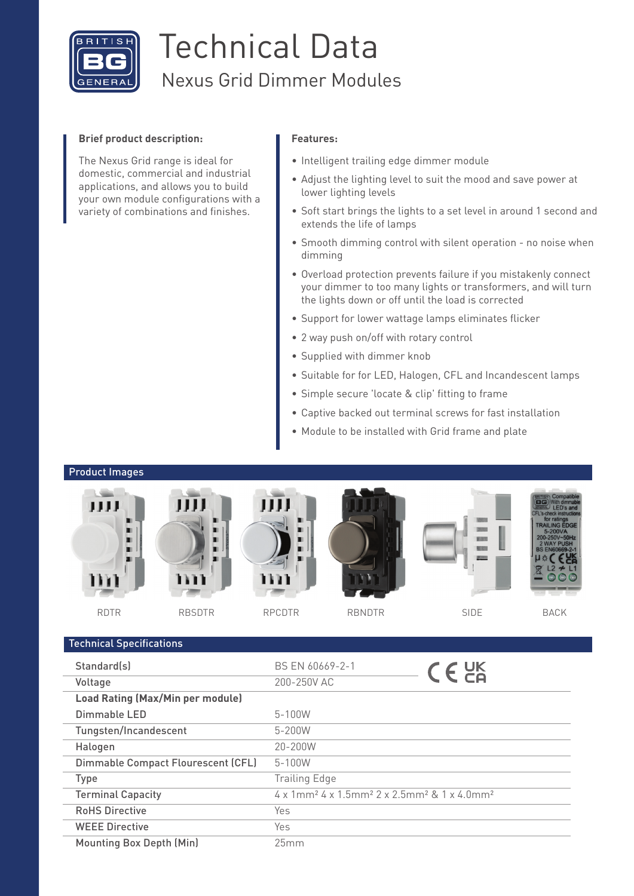

# Technical Data Nexus Grid Dimmer Modules

### **Brief product description:**

The Nexus Grid range is ideal for domestic, commercial and industrial applications, and allows you to build your own module configurations with a variety of combinations and finishes.

### **Features:**

- Intelligent trailing edge dimmer module
- Adjust the lighting level to suit the mood and save power at lower lighting levels
- Soft start brings the lights to a set level in around 1 second and extends the life of lamps
- Smooth dimming control with silent operation no noise when dimming
- Overload protection prevents failure if you mistakenly connect your dimmer to too many lights or transformers, and will turn the lights down or off until the load is corrected
- Support for lower wattage lamps eliminates flicker
- 2 way push on/off with rotary control
- Supplied with dimmer knob
- Suitable for for LED, Halogen, CFL and Incandescent lamps
- Simple secure 'locate & clip' fitting to frame
- Captive backed out terminal screws for fast installation
- Module to be installed with Grid frame and plate

### Product Images

 $\tau$  and specifications of  $\sigma$ 



| BS EN 60669-2-1                                                                                                           | $C \in \frac{CK}{C}$ |  |  |  |
|---------------------------------------------------------------------------------------------------------------------------|----------------------|--|--|--|
| 200-250V AC                                                                                                               |                      |  |  |  |
|                                                                                                                           |                      |  |  |  |
| $5 - 100W$                                                                                                                |                      |  |  |  |
| 5-200W                                                                                                                    |                      |  |  |  |
| 20-200W                                                                                                                   |                      |  |  |  |
| $5 - 100W$                                                                                                                |                      |  |  |  |
| <b>Trailing Edge</b>                                                                                                      |                      |  |  |  |
| $4 \times 1$ mm <sup>2</sup> $4 \times 1.5$ mm <sup>2</sup> $2 \times 2.5$ mm <sup>2</sup> $8 \times 4.0$ mm <sup>2</sup> |                      |  |  |  |
| Yes                                                                                                                       |                      |  |  |  |
| Yes                                                                                                                       |                      |  |  |  |
| 25mm                                                                                                                      |                      |  |  |  |
|                                                                                                                           |                      |  |  |  |